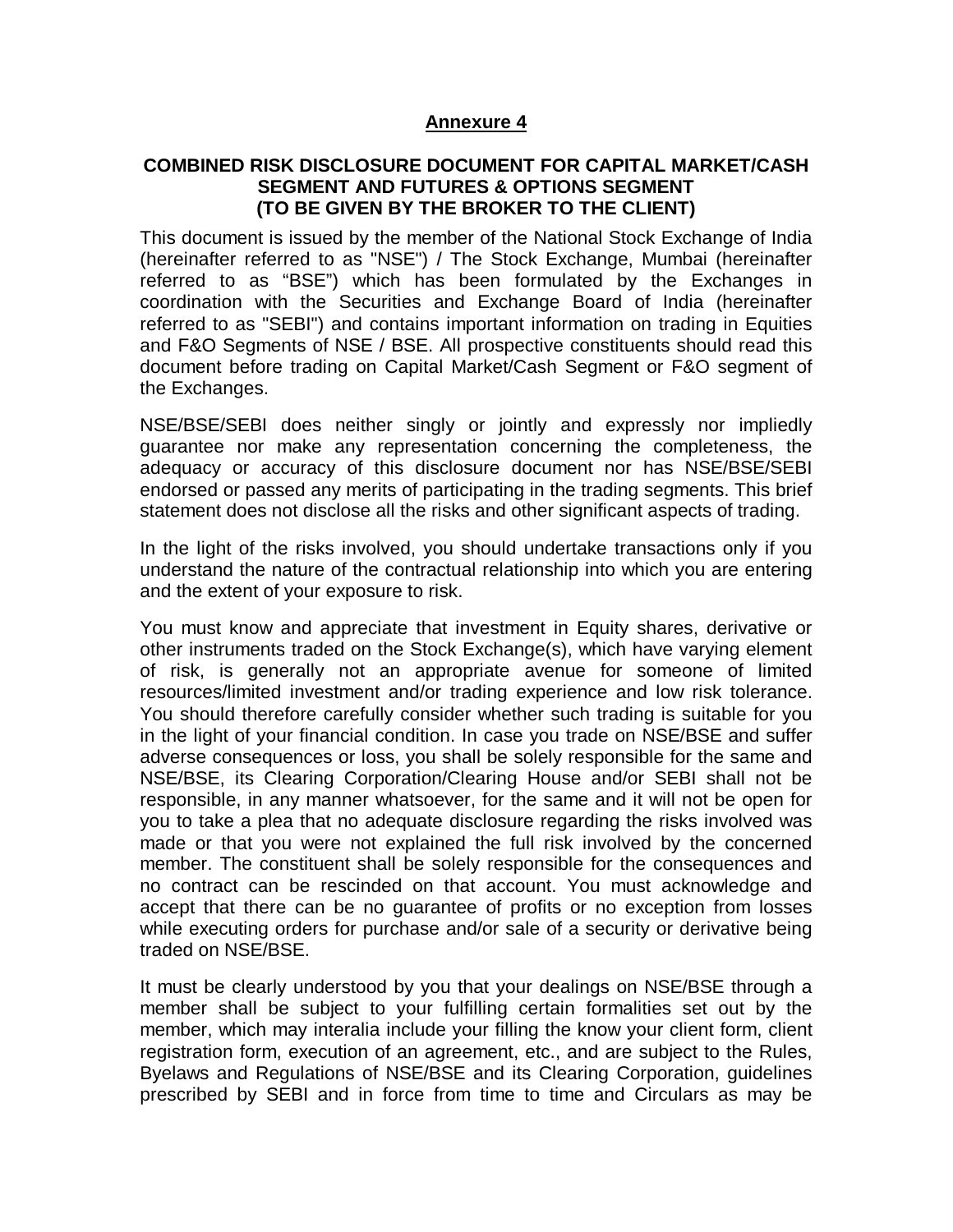#### **Annexure 4**

#### **COMBINED RISK DISCLOSURE DOCUMENT FOR CAPITAL MARKET/CASH SEGMENT AND FUTURES & OPTIONS SEGMENT (TO BE GIVEN BY THE BROKER TO THE CLIENT)**

This document is issued by the member of the National Stock Exchange of India (hereinafter referred to as "NSE") / The Stock Exchange, Mumbai (hereinafter referred to as "BSE") which has been formulated by the Exchanges in coordination with the Securities and Exchange Board of India (hereinafter referred to as "SEBI") and contains important information on trading in Equities and F&O Segments of NSE / BSE. All prospective constituents should read this document before trading on Capital Market/Cash Segment or F&O segment of the Exchanges.

NSE/BSE/SEBI does neither singly or jointly and expressly nor impliedly guarantee nor make any representation concerning the completeness, the adequacy or accuracy of this disclosure document nor has NSE/BSE/SEBI endorsed or passed any merits of participating in the trading segments. This brief statement does not disclose all the risks and other significant aspects of trading.

In the light of the risks involved, you should undertake transactions only if you understand the nature of the contractual relationship into which you are entering and the extent of your exposure to risk.

You must know and appreciate that investment in Equity shares, derivative or other instruments traded on the Stock Exchange(s), which have varying element of risk, is generally not an appropriate avenue for someone of limited resources/limited investment and/or trading experience and low risk tolerance. You should therefore carefully consider whether such trading is suitable for you in the light of your financial condition. In case you trade on NSE/BSE and suffer adverse consequences or loss, you shall be solely responsible for the same and NSE/BSE, its Clearing Corporation/Clearing House and/or SEBI shall not be responsible, in any manner whatsoever, for the same and it will not be open for you to take a plea that no adequate disclosure regarding the risks involved was made or that you were not explained the full risk involved by the concerned member. The constituent shall be solely responsible for the consequences and no contract can be rescinded on that account. You must acknowledge and accept that there can be no guarantee of profits or no exception from losses while executing orders for purchase and/or sale of a security or derivative being traded on NSE/BSE.

It must be clearly understood by you that your dealings on NSE/BSE through a member shall be subject to your fulfilling certain formalities set out by the member, which may interalia include your filling the know your client form, client registration form, execution of an agreement, etc., and are subject to the Rules, Byelaws and Regulations of NSE/BSE and its Clearing Corporation, guidelines prescribed by SEBI and in force from time to time and Circulars as may be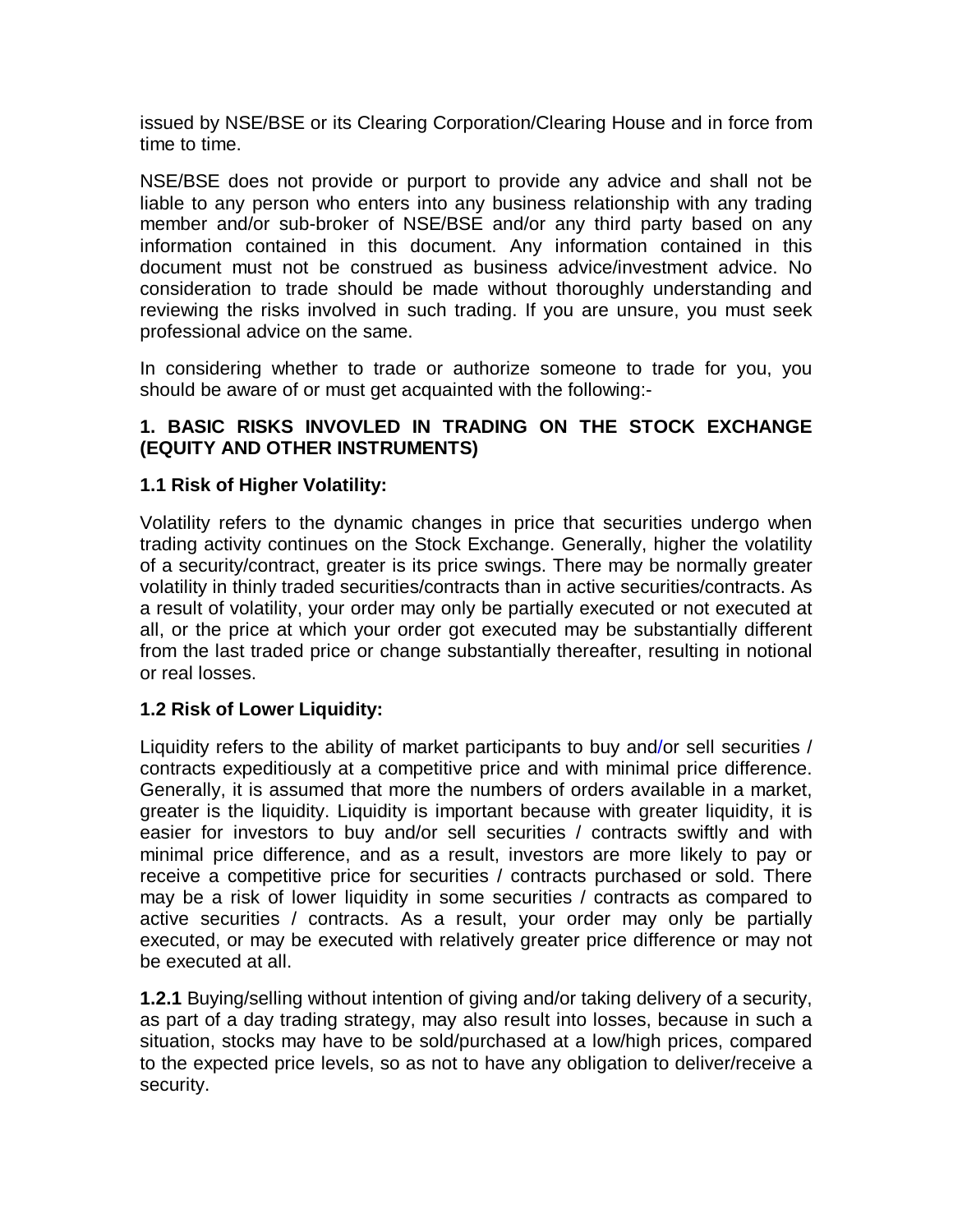issued by NSE/BSE or its Clearing Corporation/Clearing House and in force from time to time.

NSE/BSE does not provide or purport to provide any advice and shall not be liable to any person who enters into any business relationship with any trading member and/or sub-broker of NSE/BSE and/or any third party based on any information contained in this document. Any information contained in this document must not be construed as business advice/investment advice. No consideration to trade should be made without thoroughly understanding and reviewing the risks involved in such trading. If you are unsure, you must seek professional advice on the same.

In considering whether to trade or authorize someone to trade for you, you should be aware of or must get acquainted with the following:-

# **1. BASIC RISKS INVOVLED IN TRADING ON THE STOCK EXCHANGE (EQUITY AND OTHER INSTRUMENTS)**

# **1.1 Risk of Higher Volatility:**

Volatility refers to the dynamic changes in price that securities undergo when trading activity continues on the Stock Exchange. Generally, higher the volatility of a security/contract, greater is its price swings. There may be normally greater volatility in thinly traded securities/contracts than in active securities/contracts. As a result of volatility, your order may only be partially executed or not executed at all, or the price at which your order got executed may be substantially different from the last traded price or change substantially thereafter, resulting in notional or real losses.

# **1.2 Risk of Lower Liquidity:**

Liquidity refers to the ability of market participants to buy and/or sell securities / contracts expeditiously at a competitive price and with minimal price difference. Generally, it is assumed that more the numbers of orders available in a market, greater is the liquidity. Liquidity is important because with greater liquidity, it is easier for investors to buy and/or sell securities / contracts swiftly and with minimal price difference, and as a result, investors are more likely to pay or receive a competitive price for securities / contracts purchased or sold. There may be a risk of lower liquidity in some securities / contracts as compared to active securities / contracts. As a result, your order may only be partially executed, or may be executed with relatively greater price difference or may not be executed at all.

**1.2.1** Buying/selling without intention of giving and/or taking delivery of a security, as part of a day trading strategy, may also result into losses, because in such a situation, stocks may have to be sold/purchased at a low/high prices, compared to the expected price levels, so as not to have any obligation to deliver/receive a security.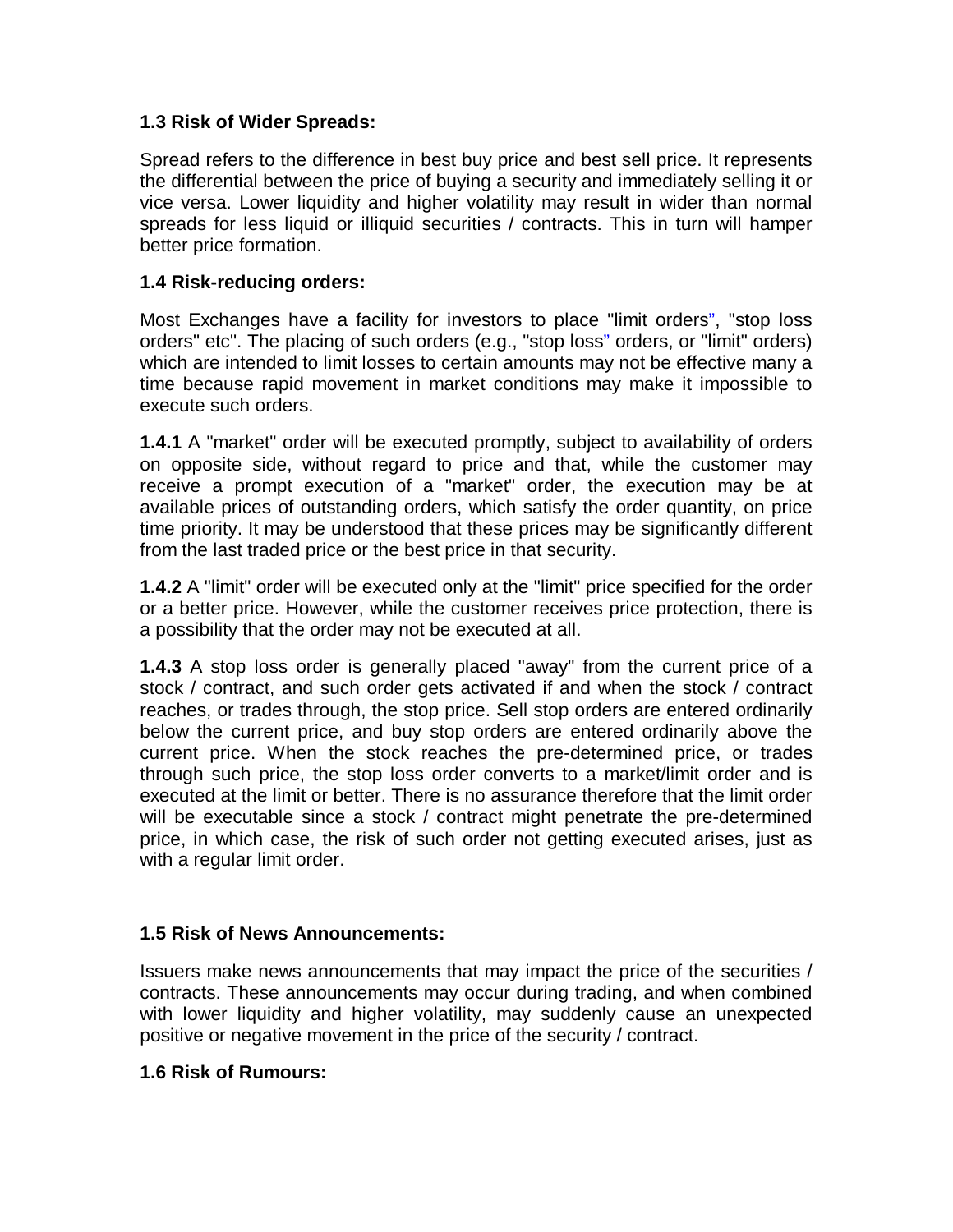#### **1.3 Risk of Wider Spreads:**

Spread refers to the difference in best buy price and best sell price. It represents the differential between the price of buying a security and immediately selling it or vice versa. Lower liquidity and higher volatility may result in wider than normal spreads for less liquid or illiquid securities / contracts. This in turn will hamper better price formation.

#### **1.4 Risk-reducing orders:**

Most Exchanges have a facility for investors to place "limit orders", "stop loss orders" etc". The placing of such orders (e.g., "stop loss" orders, or "limit" orders) which are intended to limit losses to certain amounts may not be effective many a time because rapid movement in market conditions may make it impossible to execute such orders.

**1.4.1** A "market" order will be executed promptly, subject to availability of orders on opposite side, without regard to price and that, while the customer may receive a prompt execution of a "market" order, the execution may be at available prices of outstanding orders, which satisfy the order quantity, on price time priority. It may be understood that these prices may be significantly different from the last traded price or the best price in that security.

**1.4.2** A "limit" order will be executed only at the "limit" price specified for the order or a better price. However, while the customer receives price protection, there is a possibility that the order may not be executed at all.

**1.4.3** A stop loss order is generally placed "away" from the current price of a stock / contract, and such order gets activated if and when the stock / contract reaches, or trades through, the stop price. Sell stop orders are entered ordinarily below the current price, and buy stop orders are entered ordinarily above the current price. When the stock reaches the pre-determined price, or trades through such price, the stop loss order converts to a market/limit order and is executed at the limit or better. There is no assurance therefore that the limit order will be executable since a stock / contract might penetrate the pre-determined price, in which case, the risk of such order not getting executed arises, just as with a regular limit order.

# **1.5 Risk of News Announcements:**

Issuers make news announcements that may impact the price of the securities / contracts. These announcements may occur during trading, and when combined with lower liquidity and higher volatility, may suddenly cause an unexpected positive or negative movement in the price of the security / contract.

#### **1.6 Risk of Rumours:**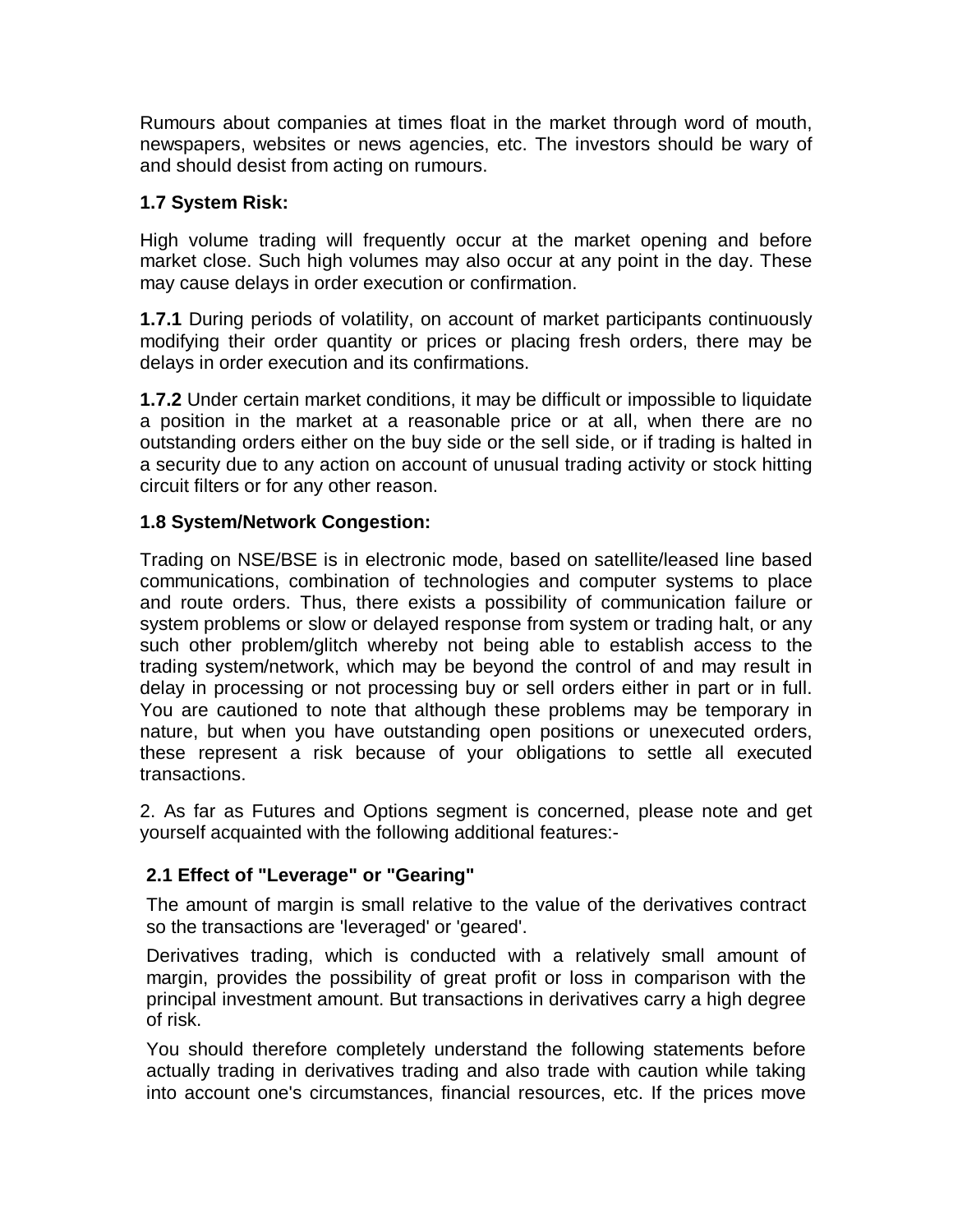Rumours about companies at times float in the market through word of mouth, newspapers, websites or news agencies, etc. The investors should be wary of and should desist from acting on rumours.

# **1.7 System Risk:**

High volume trading will frequently occur at the market opening and before market close. Such high volumes may also occur at any point in the day. These may cause delays in order execution or confirmation.

**1.7.1** During periods of volatility, on account of market participants continuously modifying their order quantity or prices or placing fresh orders, there may be delays in order execution and its confirmations.

**1.7.2** Under certain market conditions, it may be difficult or impossible to liquidate a position in the market at a reasonable price or at all, when there are no outstanding orders either on the buy side or the sell side, or if trading is halted in a security due to any action on account of unusual trading activity or stock hitting circuit filters or for any other reason.

# **1.8 System/Network Congestion:**

Trading on NSE/BSE is in electronic mode, based on satellite/leased line based communications, combination of technologies and computer systems to place and route orders. Thus, there exists a possibility of communication failure or system problems or slow or delayed response from system or trading halt, or any such other problem/glitch whereby not being able to establish access to the trading system/network, which may be beyond the control of and may result in delay in processing or not processing buy or sell orders either in part or in full. You are cautioned to note that although these problems may be temporary in nature, but when you have outstanding open positions or unexecuted orders, these represent a risk because of your obligations to settle all executed transactions.

2. As far as Futures and Options segment is concerned, please note and get yourself acquainted with the following additional features:-

# **2.1 Effect of "Leverage" or "Gearing"**

The amount of margin is small relative to the value of the derivatives contract so the transactions are 'leveraged' or 'geared'.

Derivatives trading, which is conducted with a relatively small amount of margin, provides the possibility of great profit or loss in comparison with the principal investment amount. But transactions in derivatives carry a high degree of risk.

You should therefore completely understand the following statements before actually trading in derivatives trading and also trade with caution while taking into account one's circumstances, financial resources, etc. If the prices move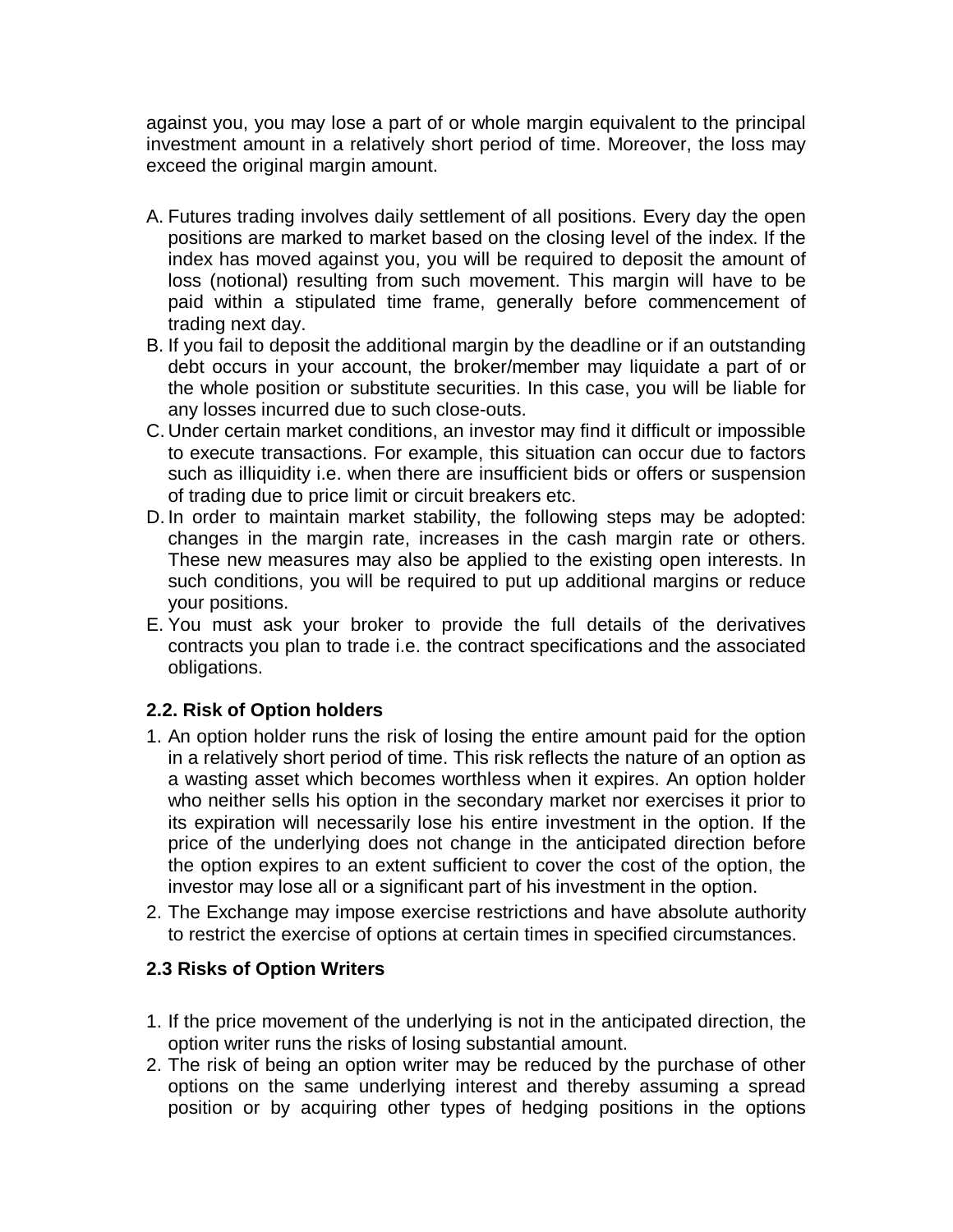against you, you may lose a part of or whole margin equivalent to the principal investment amount in a relatively short period of time. Moreover, the loss may exceed the original margin amount.

- A. Futures trading involves daily settlement of all positions. Every day the open positions are marked to market based on the closing level of the index. If the index has moved against you, you will be required to deposit the amount of loss (notional) resulting from such movement. This margin will have to be paid within a stipulated time frame, generally before commencement of trading next day.
- B. If you fail to deposit the additional margin by the deadline or if an outstanding debt occurs in your account, the broker/member may liquidate a part of or the whole position or substitute securities. In this case, you will be liable for any losses incurred due to such close-outs.
- C. Under certain market conditions, an investor may find it difficult or impossible to execute transactions. For example, this situation can occur due to factors such as illiquidity i.e. when there are insufficient bids or offers or suspension of trading due to price limit or circuit breakers etc.
- D. In order to maintain market stability, the following steps may be adopted: changes in the margin rate, increases in the cash margin rate or others. These new measures may also be applied to the existing open interests. In such conditions, you will be required to put up additional margins or reduce your positions.
- E. You must ask your broker to provide the full details of the derivatives contracts you plan to trade i.e. the contract specifications and the associated obligations.

# **2.2. Risk of Option holders**

- 1. An option holder runs the risk of losing the entire amount paid for the option in a relatively short period of time. This risk reflects the nature of an option as a wasting asset which becomes worthless when it expires. An option holder who neither sells his option in the secondary market nor exercises it prior to its expiration will necessarily lose his entire investment in the option. If the price of the underlying does not change in the anticipated direction before the option expires to an extent sufficient to cover the cost of the option, the investor may lose all or a significant part of his investment in the option.
- 2. The Exchange may impose exercise restrictions and have absolute authority to restrict the exercise of options at certain times in specified circumstances.

# **2.3 Risks of Option Writers**

- 1. If the price movement of the underlying is not in the anticipated direction, the option writer runs the risks of losing substantial amount.
- 2. The risk of being an option writer may be reduced by the purchase of other options on the same underlying interest and thereby assuming a spread position or by acquiring other types of hedging positions in the options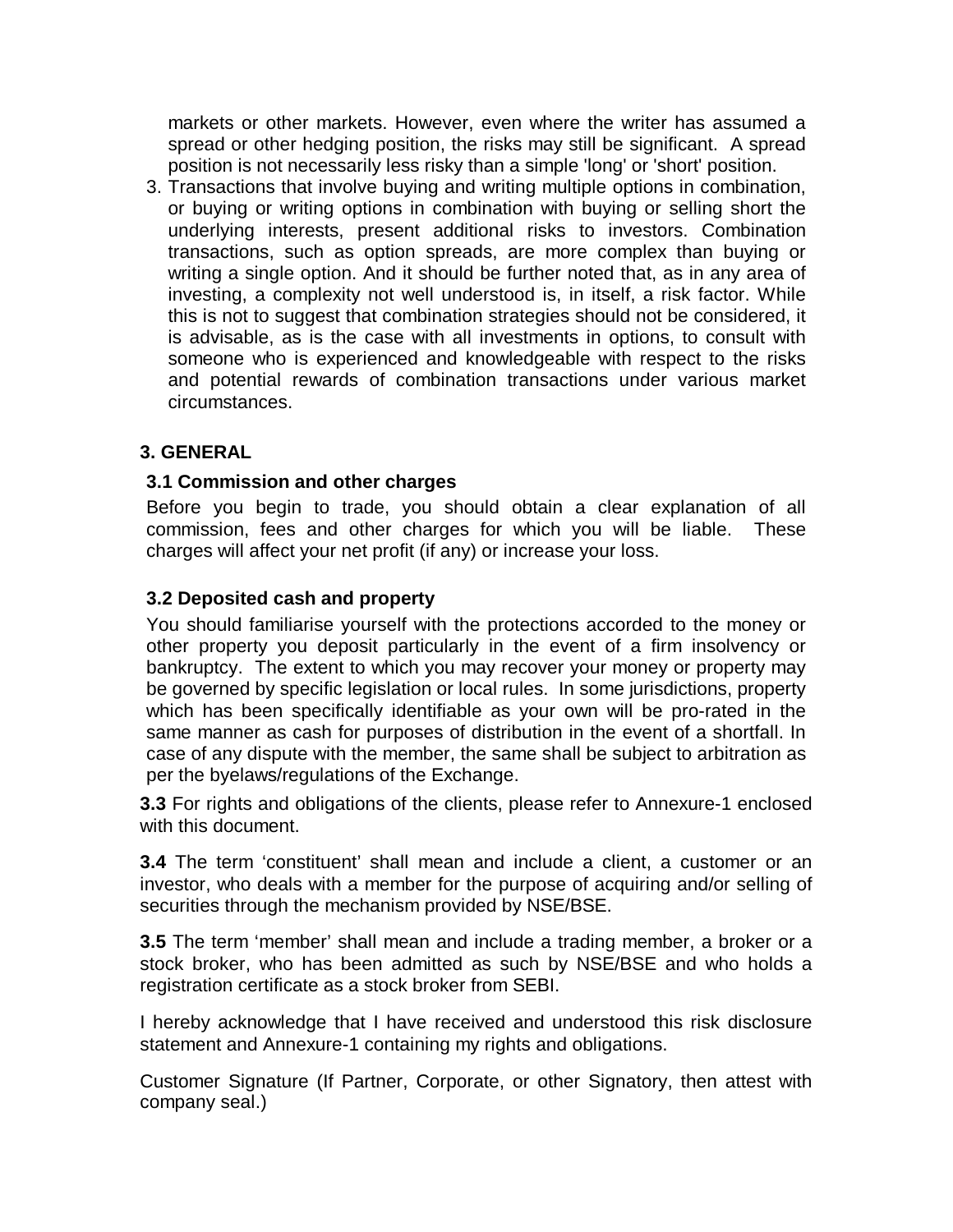markets or other markets. However, even where the writer has assumed a spread or other hedging position, the risks may still be significant. A spread position is not necessarily less risky than a simple 'long' or 'short' position.

3. Transactions that involve buying and writing multiple options in combination, or buying or writing options in combination with buying or selling short the underlying interests, present additional risks to investors. Combination transactions, such as option spreads, are more complex than buying or writing a single option. And it should be further noted that, as in any area of investing, a complexity not well understood is, in itself, a risk factor. While this is not to suggest that combination strategies should not be considered, it is advisable, as is the case with all investments in options, to consult with someone who is experienced and knowledgeable with respect to the risks and potential rewards of combination transactions under various market circumstances.

# **3. GENERAL**

#### **3.1 Commission and other charges**

Before you begin to trade, you should obtain a clear explanation of all commission, fees and other charges for which you will be liable. These charges will affect your net profit (if any) or increase your loss.

#### **3.2 Deposited cash and property**

You should familiarise yourself with the protections accorded to the money or other property you deposit particularly in the event of a firm insolvency or bankruptcy. The extent to which you may recover your money or property may be governed by specific legislation or local rules. In some jurisdictions, property which has been specifically identifiable as your own will be pro-rated in the same manner as cash for purposes of distribution in the event of a shortfall. In case of any dispute with the member, the same shall be subject to arbitration as per the byelaws/regulations of the Exchange.

**3.3** For rights and obligations of the clients, please refer to Annexure-1 enclosed with this document.

**3.4** The term 'constituent' shall mean and include a client, a customer or an investor, who deals with a member for the purpose of acquiring and/or selling of securities through the mechanism provided by NSE/BSE.

**3.5** The term 'member' shall mean and include a trading member, a broker or a stock broker, who has been admitted as such by NSE/BSE and who holds a registration certificate as a stock broker from SEBI.

I hereby acknowledge that I have received and understood this risk disclosure statement and Annexure-1 containing my rights and obligations.

Customer Signature (If Partner, Corporate, or other Signatory, then attest with company seal.)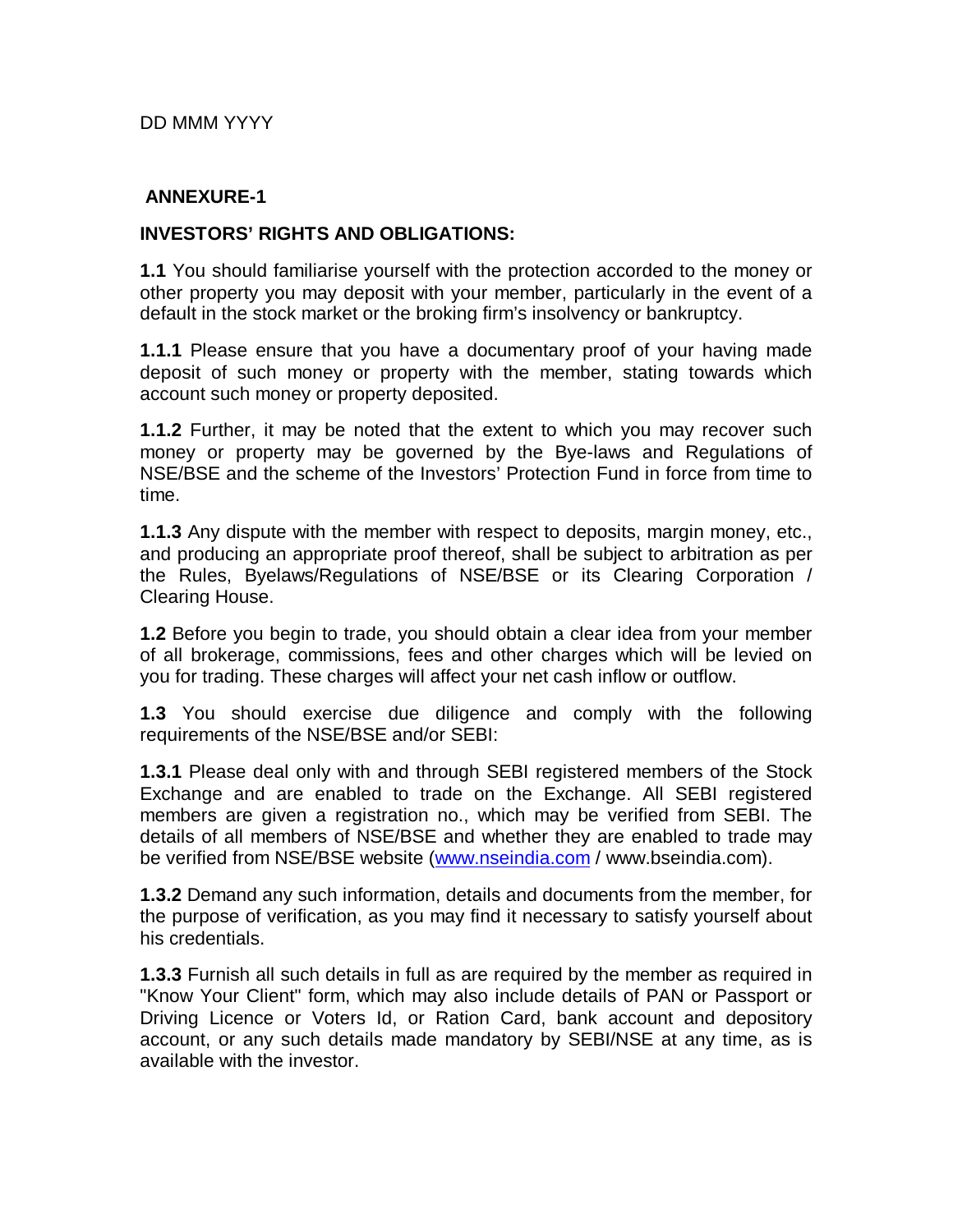DD MMM YYYY

#### **ANNEXURE-1**

#### **INVESTORS' RIGHTS AND OBLIGATIONS:**

**1.1** You should familiarise yourself with the protection accorded to the money or other property you may deposit with your member, particularly in the event of a default in the stock market or the broking firm's insolvency or bankruptcy.

**1.1.1** Please ensure that you have a documentary proof of your having made deposit of such money or property with the member, stating towards which account such money or property deposited.

**1.1.2** Further, it may be noted that the extent to which you may recover such money or property may be governed by the Bye-laws and Regulations of NSE/BSE and the scheme of the Investors' Protection Fund in force from time to time.

**1.1.3** Any dispute with the member with respect to deposits, margin money, etc., and producing an appropriate proof thereof, shall be subject to arbitration as per the Rules, Byelaws/Regulations of NSE/BSE or its Clearing Corporation / Clearing House.

**1.2** Before you begin to trade, you should obtain a clear idea from your member of all brokerage, commissions, fees and other charges which will be levied on you for trading. These charges will affect your net cash inflow or outflow.

**1.3** You should exercise due diligence and comply with the following requirements of the NSE/BSE and/or SEBI:

**1.3.1** Please deal only with and through SEBI registered members of the Stock Exchange and are enabled to trade on the Exchange. All SEBI registered members are given a registration no., which may be verified from SEBI. The details of all members of NSE/BSE and whether they are enabled to trade may be verified from NSE/BSE website (www.nseindia.com / www.bseindia.com).

**1.3.2** Demand any such information, details and documents from the member, for the purpose of verification, as you may find it necessary to satisfy yourself about his credentials.

**1.3.3** Furnish all such details in full as are required by the member as required in "Know Your Client" form, which may also include details of PAN or Passport or Driving Licence or Voters Id, or Ration Card, bank account and depository account, or any such details made mandatory by SEBI/NSE at any time, as is available with the investor.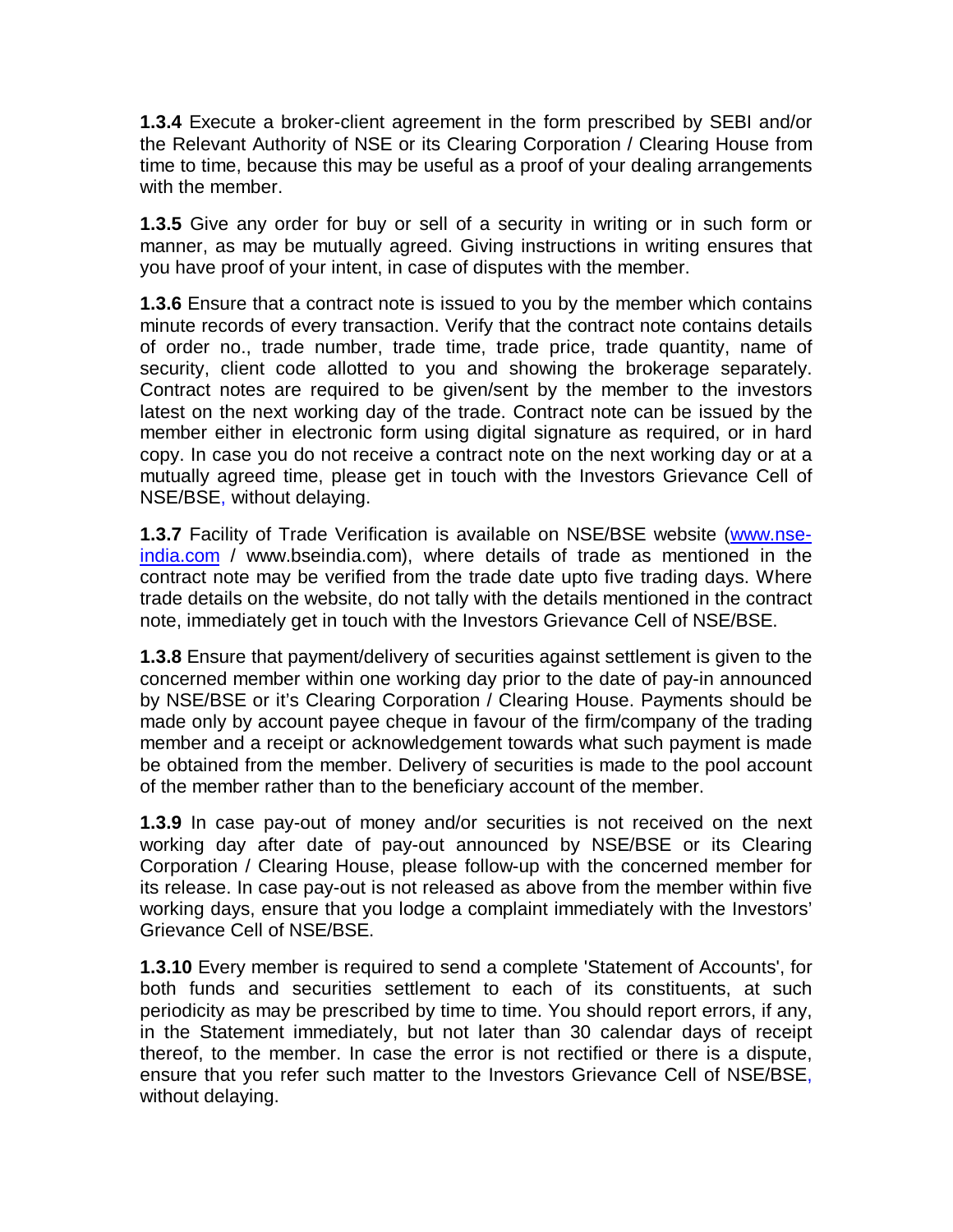**1.3.4** Execute a broker-client agreement in the form prescribed by SEBI and/or the Relevant Authority of NSE or its Clearing Corporation / Clearing House from time to time, because this may be useful as a proof of your dealing arrangements with the member.

**1.3.5** Give any order for buy or sell of a security in writing or in such form or manner, as may be mutually agreed. Giving instructions in writing ensures that you have proof of your intent, in case of disputes with the member.

**1.3.6** Ensure that a contract note is issued to you by the member which contains minute records of every transaction. Verify that the contract note contains details of order no., trade number, trade time, trade price, trade quantity, name of security, client code allotted to you and showing the brokerage separately. Contract notes are required to be given/sent by the member to the investors latest on the next working day of the trade. Contract note can be issued by the member either in electronic form using digital signature as required, or in hard copy. In case you do not receive a contract note on the next working day or at a mutually agreed time, please get in touch with the Investors Grievance Cell of NSE/BSE, without delaying.

**1.3.7** Facility of Trade Verification is available on NSE/BSE website (www.nseindia.com / www.bseindia.com), where details of trade as mentioned in the contract note may be verified from the trade date upto five trading days. Where trade details on the website, do not tally with the details mentioned in the contract note, immediately get in touch with the Investors Grievance Cell of NSE/BSE.

**1.3.8** Ensure that payment/delivery of securities against settlement is given to the concerned member within one working day prior to the date of pay-in announced by NSE/BSE or it's Clearing Corporation / Clearing House. Payments should be made only by account payee cheque in favour of the firm/company of the trading member and a receipt or acknowledgement towards what such payment is made be obtained from the member. Delivery of securities is made to the pool account of the member rather than to the beneficiary account of the member.

**1.3.9** In case pay-out of money and/or securities is not received on the next working day after date of pay-out announced by NSE/BSE or its Clearing Corporation / Clearing House, please follow-up with the concerned member for its release. In case pay-out is not released as above from the member within five working days, ensure that you lodge a complaint immediately with the Investors' Grievance Cell of NSE/BSE.

**1.3.10** Every member is required to send a complete 'Statement of Accounts', for both funds and securities settlement to each of its constituents, at such periodicity as may be prescribed by time to time. You should report errors, if any, in the Statement immediately, but not later than 30 calendar days of receipt thereof, to the member. In case the error is not rectified or there is a dispute, ensure that you refer such matter to the Investors Grievance Cell of NSE/BSE, without delaying.